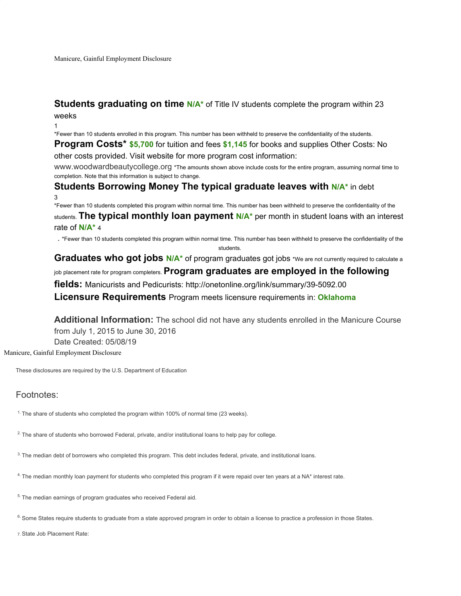## **Students graduating on time N/A<sup>\*</sup>** of Title IV students complete the program within 23 weeks

1

\*Fewer than 10 students enrolled in this program. This number has been withheld to preserve the confidentiality of the students.

**Program Costs\* \$5,700** for tuition and fees **\$1,145** for books and supplies Other Costs: No other costs provided. Visit website for more program cost information:

www.woodwardbeautycollege.org \*The amounts shown above include costs for the entire program, assuming normal time to completion. Note that this information is subject to change.

# **Students Borrowing Money The typical graduate leaves with <b>N/A**\* in debt 3

\*Fewer than 10 students completed this program within normal time. This number has been withheld to preserve the confidentiality of the students. **The typical monthly loan payment N/A\*** per month in student loans with an interest rate of **N/A\*** 4

. \*Fewer than 10 students completed this program within normal time. This number has been withheld to preserve the confidentiality of the

students.

Graduates who got jobs N/A<sup>\*</sup> of program graduates got jobs \*We are not currently required to calculate a

#### job placement rate for program completers. **Program graduates are employed in the following**

**fields:** Manicurists and Pedicurists: http://onetonline.org/link/summary/39-5092.00

**Licensure Requirements** Program meets licensure requirements in: **Oklahoma**

**Additional Information:** The school did not have any students enrolled in the Manicure Course from July 1, 2015 to June 30, 2016 Date Created: 05/08/19

Manicure, Gainful Employment Disclosure

These disclosures are required by the U.S. Department of Education

### Footnotes:

<sup>1.</sup> The share of students who completed the program within 100% of normal time (23 weeks).

<sup>2.</sup> The share of students who borrowed Federal, private, and/or institutional loans to help pay for college.

3. The median debt of borrowers who completed this program. This debt includes federal, private, and institutional loans.

4. The median monthly loan payment for students who completed this program if it were repaid over ten years at a NA\* interest rate.

<sup>5.</sup> The median earnings of program graduates who received Federal aid.

<sup>6.</sup> Some States require students to graduate from a state approved program in order to obtain a license to practice a profession in those States.

7. State Job Placement Rate: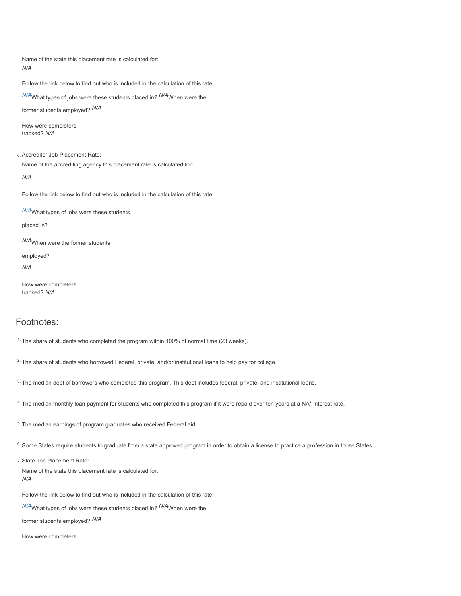Name of the state this placement rate is calculated for: *N/A*

Follow the link below to find out who is included in the calculation of this rate:

*N/A*What types of jobs were these students placed in? *N/A*When were the

former students employed? *N/A*

How were completers tracked? *N/A*

8. Accreditor Job Placement Rate: Name of the accrediting agency this placement rate is calculated for:

*N/A*

Follow the link below to find out who is included in the calculation of this rate:

*N/A*What types of jobs were these students

placed in?

*N/A*When were the former students

employed?

*N/A*

How were completers tracked? *N/A*

#### Footnotes:

<sup>1.</sup> The share of students who completed the program within 100% of normal time (23 weeks).

<sup>2.</sup> The share of students who borrowed Federal, private, and/or institutional loans to help pay for college.

3. The median debt of borrowers who completed this program. This debt includes federal, private, and institutional loans.

4. The median monthly loan payment for students who completed this program if it were repaid over ten years at a NA\* interest rate.

<sup>5.</sup> The median earnings of program graduates who received Federal aid.

<sup>6.</sup> Some States require students to graduate from a state approved program in order to obtain a license to practice a profession in those States.

7. State Job Placement Rate:

Name of the state this placement rate is calculated for: *N/A*

Follow the link below to find out who is included in the calculation of this rate:

*N/A*What types of jobs were these students placed in? *N/A*When were the

former students employed? *N/A*

How were completers